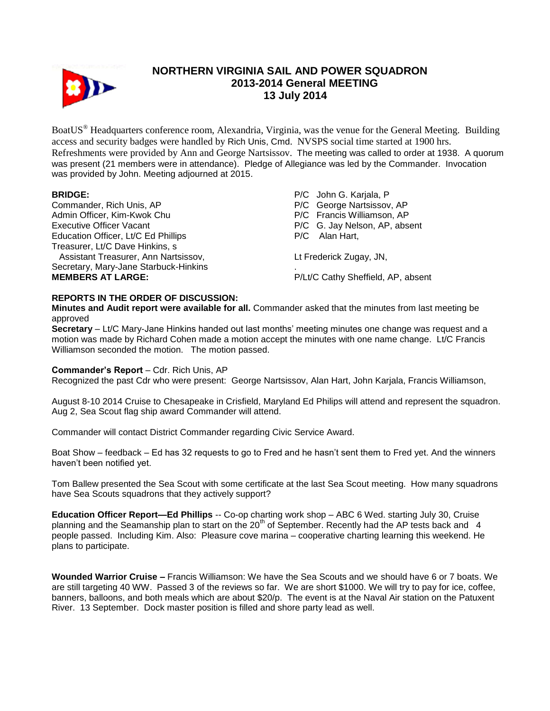

# **NORTHERN VIRGINIA SAIL AND POWER SQUADRON 2013-2014 General MEETING 13 July 2014**

BoatUS® Headquarters conference room, Alexandria, Virginia, was the venue for the General Meeting. Building access and security badges were handled by Rich Unis, Cmd. NVSPS social time started at 1900 hrs. Refreshments were provided by Ann and George Nartsissov. The meeting was called to order at 1938. A quorum was present (21 members were in attendance). Pledge of Allegiance was led by the Commander. Invocation was provided by John. Meeting adjourned at 2015.

Commander, Rich Unis, AP Admin Officer, Kim-Kwok Chu Executive Officer Vacant Education Officer, Lt/C Ed Phillips Treasurer, Lt/C Dave Hinkins, s Assistant Treasurer, Ann Nartsissov, Secretary, Mary-Jane Starbuck-Hinkins **MEMBERS AT LARGE:** P/C John G. Karjala, P P/C George Nartsissov, AP P/C Francis Williamson, AP P/C G. Jay Nelson, AP, absent P/C Alan Hart, Lt Frederick Zugay, JN, . P/Lt/C Cathy Sheffield, AP, absent

## **REPORTS IN THE ORDER OF DISCUSSION:**

**Minutes and Audit report were available for all.** Commander asked that the minutes from last meeting be approved

**Secretary** – Lt/C Mary-Jane Hinkins handed out last months' meeting minutes one change was request and a motion was made by Richard Cohen made a motion accept the minutes with one name change. Lt/C Francis Williamson seconded the motion. The motion passed.

## **Commander's Report** – Cdr. Rich Unis, AP

Recognized the past Cdr who were present: George Nartsissov, Alan Hart, John Karjala, Francis Williamson,

August 8-10 2014 Cruise to Chesapeake in Crisfield, Maryland Ed Philips will attend and represent the squadron. Aug 2, Sea Scout flag ship award Commander will attend.

Commander will contact District Commander regarding Civic Service Award.

Boat Show – feedback – Ed has 32 requests to go to Fred and he hasn't sent them to Fred yet. And the winners haven't been notified yet.

Tom Ballew presented the Sea Scout with some certificate at the last Sea Scout meeting. How many squadrons have Sea Scouts squadrons that they actively support?

**Education Officer Report—Ed Phillips** -- Co-op charting work shop – ABC 6 Wed. starting July 30, Cruise planning and the Seamanship plan to start on the 20<sup>th</sup> of September. Recently had the AP tests back and 4 people passed. Including Kim. Also: Pleasure cove marina – cooperative charting learning this weekend. He plans to participate.

**Wounded Warrior Cruise –** Francis Williamson: We have the Sea Scouts and we should have 6 or 7 boats. We are still targeting 40 WW. Passed 3 of the reviews so far. We are short \$1000. We will try to pay for ice, coffee, banners, balloons, and both meals which are about \$20/p. The event is at the Naval Air station on the Patuxent River. 13 September. Dock master position is filled and shore party lead as well.